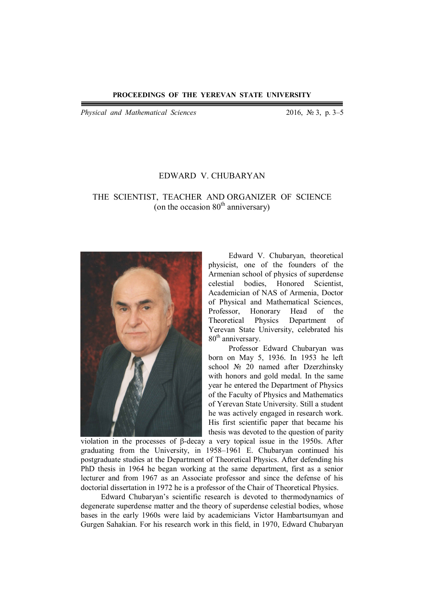*Physical and Mathematical Sciences* 2016, № 3, p. 3–5

## EDWARD V. CHUBARYAN

## THE SCIENTIST, TEACHER AND ORGANIZER OF SCIENCE (on the occasion  $80<sup>th</sup>$  anniversary)



Edward V. Chubaryan, theoretical physicist, one of the founders of the Armenian school of physics of superdense celestial bodies, Honored Scientist, Academician of NAS of Armenia, Doctor of Physical and Mathematical Sciences,<br>Professor, Honorary Head of the Professor, Honorary Head of the Theoretical Physics Department of Yerevan State University, celebrated his 80<sup>th</sup> anniversary.

Professor Edward Chubaryan was born on May 5, 1936. In 1953 he left school № 20 named after Dzerzhinsky with honors and gold medal. In the same year he entered the Department of Physics of the Faculty of Physics and Mathematics of Yerevan State University. Still a student he was actively engaged in research work. His first scientific paper that became his thesis was devoted to the question of parity

violation in the processes of β-decay a very topical issue in the 1950s. After graduating from the University, in 1958–1961 E. Chubaryan continued his postgraduate studies at the Department of Theoretical Physics. After defending his PhD thesis in 1964 he began working at the same department, first as a senior lecturer and from 1967 as an Associate professor and since the defense of his doctorial dissertation in 1972 he is a professor of the Chair of Theoretical Physics.

Edward Chubaryan's scientific research is devoted to thermodynamics of degenerate superdense matter and the theory of superdense celestial bodies, whose bases in the early 1960s were laid by academicians Victor Hambartsumyan and Gurgen Sahakian. For his research work in this field, in 1970, Edward Chubaryan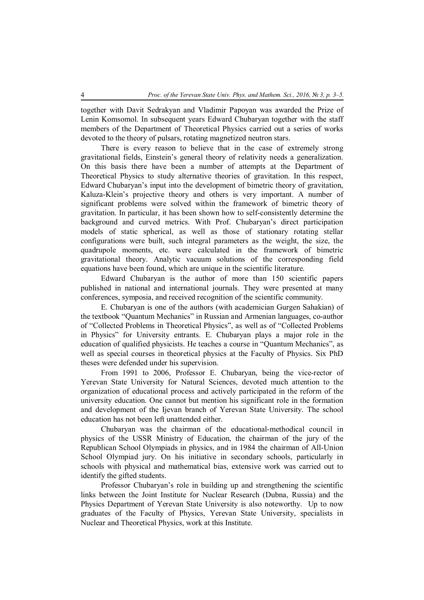together with Davit Sedrakyan and Vladimir Papoyan was awarded the Prize of Lenin Komsomol. In subsequent years Edward Chubaryan together with the staff members of the Department of Theoretical Physics carried out a series of works devoted to the theory of pulsars, rotating magnetized neutron stars.

There is every reason to believe that in the case of extremely strong gravitational fields, Einstein's general theory of relativity needs a generalization. On this basis there have been a number of attempts at the Department of Theoretical Physics to study alternative theories of gravitation. In this respect, Edward Chubaryan's input into the development of bimetric theory of gravitation, Kaluza-Klein's projective theory and others is very important. A number of significant problems were solved within the framework of bimetric theory of gravitation. In particular, it has been shown how to self-consistently determine the background and curved metrics. With Prof. Chubaryan's direct participation models of static spherical, as well as those of stationary rotating stellar configurations were built, such integral parameters as the weight, the size, the quadrupole moments, etc. were calculated in the framework of bimetric gravitational theory. Analytic vacuum solutions of the corresponding field equations have been found, which are unique in the scientific literature.

Edward Chubaryan is the author of more than 150 scientific papers published in national and international journals. They were presented at many conferences, symposia, and received recognition of the scientific community.

E. Chubaryan is one of the authors (with academician Gurgen Sahakian) of the textbook "Quantum Mechanics" in Russian and Armenian languages, co-author of "Collected Problems in Theoretical Physics", as well as of "Collected Problems in Physics" for University entrants. E. Chubaryan plays a major role in the education of qualified physicists. He teaches a course in "Quantum Mechanics", as well as special courses in theoretical physics at the Faculty of Physics. Six PhD theses were defended under his supervision.

From 1991 to 2006, Professor E. Chubaryan, being the vice-rector of Yerevan State University for Natural Sciences, devoted much attention to the organization of educational process and actively participated in the reform of the university education. One cannot but mention his significant role in the formation and development of the Ijevan branch of Yerevan State University. The school education has not been left unattended either.

Chubaryan was the chairman of the educational-methodical council in physics of the USSR Ministry of Education, the chairman of the jury of the Republican School Olympiads in physics, and in 1984 the chairman of All-Union School Olympiad jury. On his initiative in secondary schools, particularly in schools with physical and mathematical bias, extensive work was carried out to identify the gifted students.

Professor Chubaryan's role in building up and strengthening the scientific links between the Joint Institute for Nuclear Research (Dubna, Russia) and the Physics Department of Yerevan State University is also noteworthy. Up to now graduates of the Faculty of Physics, Yerevan State University, specialists in Nuclear and Theoretical Physics, work at this Institute.